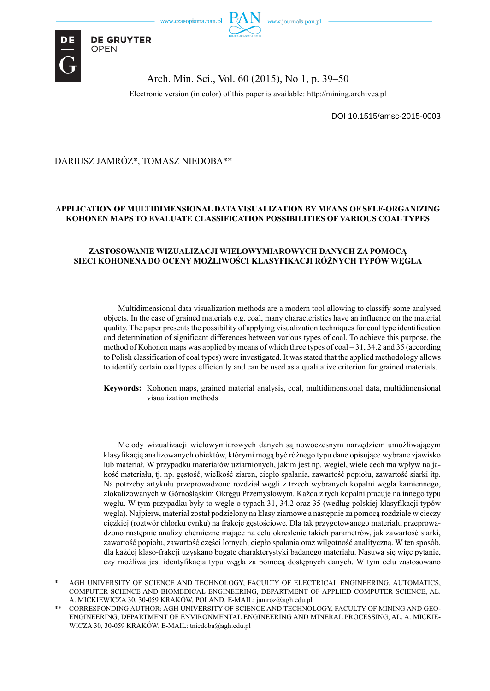

Arch. Min. Sci., Vol. 60 (2015), No 1, p. 39–50

Electronic version (in color) of this paper is available: http://mining.archives.pl

DOI 10.1515/amsc-2015-0003

#### DARIUSZ JAMRÓZ\*, TOMASZ NIEDOBA\*\*

**DE GRUYTER OPEN** 

#### **APPLICATION OF MULTIDIMENSIONAL DATA VISUALIZATION BY MEANS OF SELF-ORGANIZING KOHONEN MAPS TO EVALUATE CLASSIFICATION POSSIBILITIES OF VARIOUS COAL TYPES**

#### **ZASTOSOWANIE WIZUALIZACJI WIELOWYMIAROWYCH DANYCH ZA POMOCĄ SIECI KOHONENA DO OCENY MOŻLIWOŚCI KLASYFIKACJI RÓŻNYCH TYPÓW WĘGLA**

Multidimensional data visualization methods are a modern tool allowing to classify some analysed objects. In the case of grained materials e.g. coal, many characteristics have an influence on the material quality. The paper presents the possibility of applying visualization techniques for coal type identification and determination of significant differences between various types of coal. To achieve this purpose, the method of Kohonen maps was applied by means of which three types of coal – 31, 34.2 and 35 (according to Polish classification of coal types) were investigated. It was stated that the applied methodology allows to identify certain coal types efficiently and can be used as a qualitative criterion for grained materials.

**Keywords:** Kohonen maps, grained material analysis, coal, multidimensional data, multidimensional visualization methods

Metody wizualizacji wielowymiarowych danych są nowoczesnym narzędziem umożliwającym klasyfikację analizowanych obiektów, którymi mogą być różnego typu dane opisujące wybrane zjawisko lub materiał. W przypadku materiałów uziarnionych, jakim jest np. węgiel, wiele cech ma wpływ na jakość materiału, tj. np. gęstość, wielkość ziaren, ciepło spalania, zawartość popiołu, zawartość siarki itp. Na potrzeby artykułu przeprowadzono rozdział węgli z trzech wybranych kopalni węgla kamiennego, zlokalizowanych w Górnośląskim Okręgu Przemysłowym. Każda z tych kopalni pracuje na innego typu węglu. W tym przypadku były to węgle o typach 31, 34.2 oraz 35 (według polskiej klasyfikacji typów węgla). Najpierw, materiał został podzielony na klasy ziarnowe a następnie za pomocą rozdziale w cieczy ciężkiej (roztwór chlorku cynku) na frakcje gęstościowe. Dla tak przygotowanego materiału przeprowadzono następnie analizy chemiczne mające na celu określenie takich parametrów, jak zawartość siarki, zawartość popiołu, zawartość części lotnych, ciepło spalania oraz wilgotność analityczną. W ten sposób, dla każdej klaso-frakcji uzyskano bogate charakterystyki badanego materiału. Nasuwa się więc pytanie, czy możliwa jest identyfikacja typu węgla za pomocą dostępnych danych. W tym celu zastosowano

AGH UNIVERSITY OF SCIENCE AND TECHNOLOGY, FACULTY OF ELECTRICAL ENGINEERING, AUTOMATICS, COMPUTER SCIENCE AND BIOMEDICAL ENGINEERING, DEPARTMENT OF APPLIED COMPUTER SCIENCE, AL. A. MICKIEWICZA 30, 30-059 KRAKÓW, POLAND. E-MAIL: jamroz@agh.edu.pl

CORRESPONDING AUTHOR: AGH UNIVERSITY OF SCIENCE AND TECHNOLOGY, FACULTY OF MINING AND GEO-ENGINEERING, DEPARTMENT OF ENVIRONMENTAL ENGINEERING AND MINERAL PROCESSING, AL. A. MICKIE-WICZA 30, 30-059 KRAKÓW. E-MAIL: tniedoba@agh.edu.pl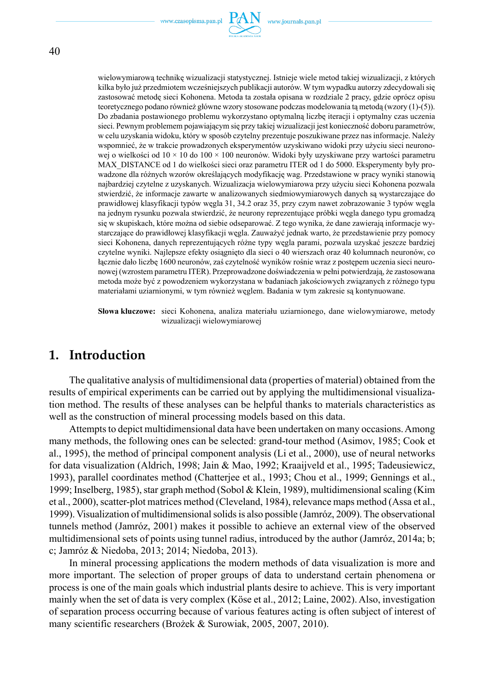

40

wielowymiarową technikę wizualizacji statystycznej. Istnieje wiele metod takiej wizualizacji, z których kilka było już przedmiotem wcześniejszych publikacji autorów. W tym wypadku autorzy zdecydowali się zastosować metodę sieci Kohonena. Metoda ta została opisana w rozdziale 2 pracy, gdzie oprócz opisu teoretycznego podano również główne wzory stosowane podczas modelowania tą metodą (wzory (1)-(5)). Do zbadania postawionego problemu wykorzystano optymalną liczbę iteracji i optymalny czas uczenia sieci. Pewnym problemem pojawiającym się przy takiej wizualizacji jest konieczność doboru parametrów, w celu uzyskania widoku, który w sposób czytelny prezentuje poszukiwane przez nas informacje. Należy wspomnieć, że w trakcie prowadzonych eksperymentów uzyskiwano widoki przy użyciu sieci neuronowej o wielkości od  $10 \times 10$  do  $100 \times 100$  neuronów. Widoki były uzyskiwane przy wartości parametru MAX\_DISTANCE od 1 do wielkości sieci oraz parametru ITER od 1 do 5000. Eksperymenty były prowadzone dla różnych wzorów określających modyfikację wag. Przedstawione w pracy wyniki stanowią najbardziej czytelne z uzyskanych. Wizualizacja wielowymiarowa przy użyciu sieci Kohonena pozwala stwierdzić, że informacje zawarte w analizowanych siedmiowymiarowych danych są wystarczające do prawidłowej klasyfikacji typów węgla 31, 34.2 oraz 35, przy czym nawet zobrazowanie 3 typów węgla na jednym rysunku pozwala stwierdzić, że neurony reprezentujące próbki węgla danego typu gromadzą się w skupiskach, które można od siebie odseparować. Z tego wynika, że dane zawierają informacje wystarczające do prawidłowej klasyfikacji węgla. Zauważyć jednak warto, że przedstawienie przy pomocy sieci Kohonena, danych reprezentujących różne typy węgla parami, pozwala uzyskać jeszcze bardziej czytelne wyniki. Najlepsze efekty osiągnięto dla sieci o 40 wierszach oraz 40 kolumnach neuronów, co łącznie dało liczbę 1600 neuronów, zaś czytelność wyników rośnie wraz z postępem uczenia sieci neuronowej (wzrostem parametru ITER). Przeprowadzone doświadczenia w pełni potwierdzają, że zastosowana metoda może być z powodzeniem wykorzystana w badaniach jakościowych związanych z różnego typu materiałami uziarnionymi, w tym również węglem. Badania w tym zakresie są kontynuowane.

**Słowa kluczowe:** sieci Kohonena, analiza materiału uziarnionego, dane wielowymiarowe, metody wizualizacji wielowymiarowej

### **1. Introduction**

The qualitative analysis of multidimensional data (properties of material) obtained from the results of empirical experiments can be carried out by applying the multidimensional visualization method. The results of these analyses can be helpful thanks to materials characteristics as well as the construction of mineral processing models based on this data.

Attempts to depict multidimensional data have been undertaken on many occasions. Among many methods, the following ones can be selected: grand-tour method (Asimov, 1985; Cook et al., 1995), the method of principal component analysis (Li et al., 2000), use of neural networks for data visualization (Aldrich, 1998; Jain & Mao, 1992; Kraaijveld et al., 1995; Tadeusiewicz, 1993), parallel coordinates method (Chatterjee et al., 1993; Chou et al., 1999; Gennings et al., 1999; Inselberg, 1985), star graph method (Sobol & Klein, 1989), multidimensional scaling (Kim et al., 2000), scatter-plot matrices method (Cleveland, 1984), relevance maps method (Assa et al., 1999). Visualization of multidimensional solids is also possible (Jamróz, 2009). The observational tunnels method (Jamróz, 2001) makes it possible to achieve an external view of the observed multidimensional sets of points using tunnel radius, introduced by the author (Jamróz, 2014a; b; c; Jamróz & Niedoba, 2013; 2014; Niedoba, 2013).

In mineral processing applications the modern methods of data visualization is more and more important. The selection of proper groups of data to understand certain phenomena or process is one of the main goals which industrial plants desire to achieve. This is very important mainly when the set of data is very complex (Köse et al., 2012; Laine, 2002). Also, investigation of separation process occurring because of various features acting is often subject of interest of many scientific researchers (Brożek & Surowiak, 2005, 2007, 2010).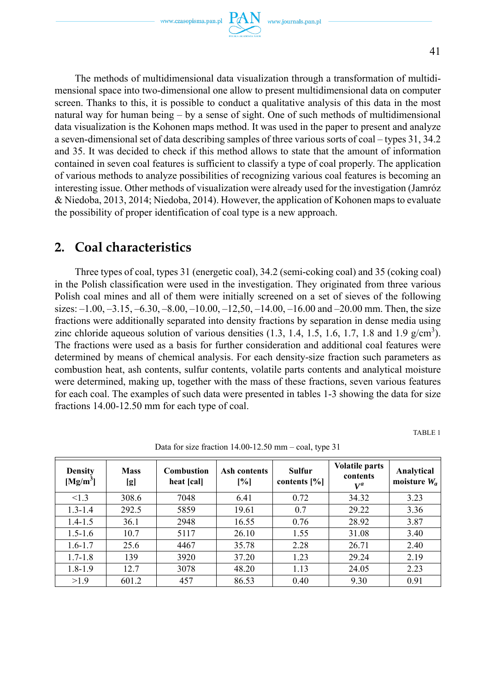The methods of multidimensional data visualization through a transformation of multidimensional space into two-dimensional one allow to present multidimensional data on computer screen. Thanks to this, it is possible to conduct a qualitative analysis of this data in the most natural way for human being – by a sense of sight. One of such methods of multidimensional data visualization is the Kohonen maps method. It was used in the paper to present and analyze a seven-dimensional set of data describing samples of three various sorts of coal – types 31, 34.2 and 35. It was decided to check if this method allows to state that the amount of information contained in seven coal features is sufficient to classify a type of coal properly. The application of various methods to analyze possibilities of recognizing various coal features is becoming an interesting issue. Other methods of visualization were already used for the investigation (Jamróz & Niedoba, 2013, 2014; Niedoba, 2014). However, the application of Kohonen maps to evaluate the possibility of proper identification of coal type is a new approach.

# **2. Coal characteristics**

Three types of coal, types 31 (energetic coal), 34.2 (semi-coking coal) and 35 (coking coal) in the Polish classification were used in the investigation. They originated from three various Polish coal mines and all of them were initially screened on a set of sieves of the following sizes:  $-1.00, -3.15, -6.30, -8.00, -10.00, -12.50, -14.00, -16.00$  and  $-20.00$  mm. Then, the size fractions were additionally separated into density fractions by separation in dense media using zinc chloride aqueous solution of various densities  $(1.3, 1.4, 1.5, 1.6, 1.7, 1.8$  and  $1.9$  g/cm<sup>3</sup>). The fractions were used as a basis for further consideration and additional coal features were determined by means of chemical analysis. For each density-size fraction such parameters as combustion heat, ash contents, sulfur contents, volatile parts contents and analytical moisture were determined, making up, together with the mass of these fractions, seven various features for each coal. The examples of such data were presented in tables 1-3 showing the data for size fractions 14.00-12.50 mm for each type of coal.

TABLE 1

| <b>Density</b><br>[Mg/m <sup>3</sup> ] | <b>Mass</b><br>[g] | <b>Combustion</b><br>heat [cal] | Ash contents<br>[%] | <b>Sulfur</b><br>contents $[\%]$ | <b>Volatile parts</b><br>contents<br>$V^a$ | Analytical<br>moisture $W_a$ |
|----------------------------------------|--------------------|---------------------------------|---------------------|----------------------------------|--------------------------------------------|------------------------------|
| <1.3                                   | 308.6              | 7048                            | 6.41                | 0.72                             | 34.32                                      | 3.23                         |
| $1.3 - 1.4$                            | 292.5              | 5859                            | 19.61               | 0.7                              | 29.22                                      | 3.36                         |
| $1.4 - 1.5$                            | 36.1               | 2948                            | 16.55               | 0.76                             | 28.92                                      | 3.87                         |
| $1.5 - 1.6$                            | 10.7               | 5117                            | 26.10               | 1.55                             | 31.08                                      | 3.40                         |
| $1.6 - 1.7$                            | 25.6               | 4467                            | 35.78               | 2.28                             | 26.71                                      | 2.40                         |
| $1.7 - 1.8$                            | 139                | 3920                            | 37.20               | 1.23                             | 29.24                                      | 2.19                         |
| $1.8 - 1.9$                            | 12.7               | 3078                            | 48.20               | 1.13                             | 24.05                                      | 2.23                         |
| >1.9                                   | 601.2              | 457                             | 86.53               | 0.40                             | 9.30                                       | 0.91                         |

Data for size fraction 14.00-12.50 mm – coal, type 31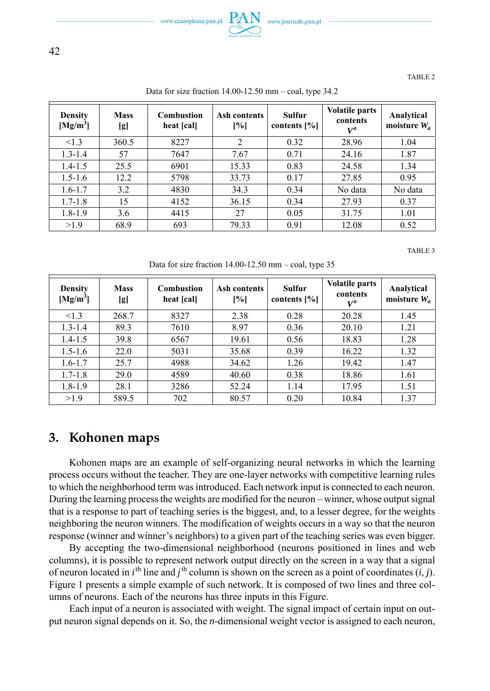

TABLE 2

| <b>Density</b><br>$[Mg/m^3]$ | <b>Mass</b><br>[g] | <b>Combustion</b><br>heat [cal] | Ash contents<br>[%] | Sulfur<br>contents $[\%]$ | <b>Volatile parts</b><br>contents<br>$V^a$ | Analytical<br>moisture $W_a$ |
|------------------------------|--------------------|---------------------------------|---------------------|---------------------------|--------------------------------------------|------------------------------|
| <1.3                         | 360.5              | 8227                            | 2                   | 0.32                      | 28.96                                      | 1.04                         |
| $1.3 - 1.4$                  | 57                 | 7647                            | 7.67                | 0.71                      | 24.16                                      | 1.87                         |
| $1.4 - 1.5$                  | 25.5               | 6901                            | 15.33               | 0.83                      | 24.58                                      | 1.34                         |
| $1.5 - 1.6$                  | 12.2               | 5798                            | 33.73               | 0.17                      | 27.85                                      | 0.95                         |
| $1.6 - 1.7$                  | 3.2                | 4830                            | 34.3                | 0.34                      | No data                                    | No data                      |
| $1.7 - 1.8$                  | 15                 | 4152                            | 36.15               | 0.34                      | 27.93                                      | 0.37                         |
| $1.8 - 1.9$                  | 3.6                | 4415                            | 27                  | 0.05                      | 31.75                                      | 1.01                         |
| >1.9                         | 68.9               | 693                             | 79.33               | 0.91                      | 12.08                                      | 0.52                         |

Data for size fraction 14.00-12.50 mm – coal, type 34.2

TABLE 3

Data for size fraction 14.00-12.50 mm – coal, type 35

| <b>Density</b><br>[Mg/m <sup>3</sup> ] | <b>Mass</b><br>[g] | <b>Combustion</b><br>heat [cal] | Ash contents<br>[%] | Sulfur<br>contents $[\%]$ | <b>Volatile parts</b><br>contents<br>$V^a$ | Analytical<br>moisture $W_a$ |
|----------------------------------------|--------------------|---------------------------------|---------------------|---------------------------|--------------------------------------------|------------------------------|
| <1.3                                   | 268.7              | 8327                            | 2.38                | 0.28                      | 20.28                                      | 1.45                         |
| $1.3 - 1.4$                            | 89.3               | 7610                            | 8.97                | 0.36                      | 20.10                                      | 1.21                         |
| $1.4 - 1.5$                            | 39.8               | 6567                            | 19.61               | 0.56                      | 18.83                                      | 1.28                         |
| $1.5 - 1.6$                            | 22.0               | 5031                            | 35.68               | 0.39                      | 16.22                                      | 1.32                         |
| $1.6 - 1.7$                            | 25.7               | 4988                            | 34.62               | 1.26                      | 19.42                                      | 1.47                         |
| $1.7 - 1.8$                            | 29.0               | 4589                            | 40.60               | 0.38                      | 18.86                                      | 1.61                         |
| $1.8 - 1.9$                            | 28.1               | 3286                            | 52.24               | 1.14                      | 17.95                                      | 1.51                         |
| >1.9                                   | 589.5              | 702                             | 80.57               | 0.20                      | 10.84                                      | 1.37                         |

## **3. Kohonen maps**

Kohonen maps are an example of self-organizing neural networks in which the learning process occurs without the teacher. They are one-layer networks with competitive learning rules to which the neighborhood term was introduced. Each network input is connected to each neuron. During the learning process the weights are modified for the neuron – winner, whose output signal that is a response to part of teaching series is the biggest, and, to a lesser degree, for the weights neighboring the neuron winners. The modification of weights occurs in a way so that the neuron response (winner and winner's neighbors) to a given part of the teaching series was even bigger.

By accepting the two-dimensional neighborhood (neurons positioned in lines and web columns), it is possible to represent network output directly on the screen in a way that a signal of neuron located in  $i^{\text{th}}$  line and  $j^{\text{th}}$  column is shown on the screen as a point of coordinates  $(i, j)$ . Figure 1 presents a simple example of such network. It is composed of two lines and three columns of neurons. Each of the neurons has three inputs in this Figure.

Each input of a neuron is associated with weight. The signal impact of certain input on output neuron signal depends on it. So, the *n*-dimensional weight vector is assigned to each neuron,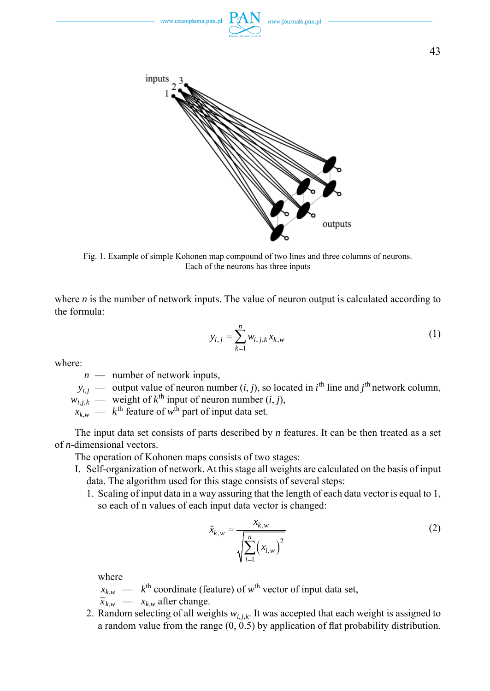

Fig. 1. Example of simple Kohonen map compound of two lines and three columns of neurons. Each of the neurons has three inputs

where *n* is the number of network inputs. The value of neuron output is calculated according to the formula:

$$
y_{i,j} = \sum_{k=1}^{n} w_{i,j,k} x_{k,w}
$$
 (1)

where:

*n* — number of network inputs,

 $y_{i,j}$  — output value of neuron number  $(i, j)$ , so located in  $i^{\text{th}}$  line and  $j^{\text{th}}$  network column,

 $w_{i,j,k}$  — weight of  $k^{\text{th}}$  input of neuron number  $(i, j)$ ,

 $\hat{x}_{k,w}$  —  $k^{\text{th}}$  feature of  $w^{\text{th}}$  part of input data set.

The input data set consists of parts described by *n* features. It can be then treated as a set of *n*-dimensional vectors.

The operation of Kohonen maps consists of two stages:

- I. Self-organization of network. At this stage all weights are calculated on the basis of input data. The algorithm used for this stage consists of several steps:
	- 1. Scaling of input data in a way assuring that the length of each data vector is equal to 1, so each of n values of each input data vector is changed:

$$
\tilde{x}_{k,w} = \frac{x_{k,w}}{\sqrt{\sum_{i=1}^{n} (x_{i,w})^2}}
$$
(2)

where

 $x_{k,w}$  —  $k^{\text{th}}$  coordinate (feature) of  $w^{\text{th}}$  vector of input data set,

 $\widetilde{x}_{k,w}$  —  $x_{k,w}$  after change.

2. Random selecting of all weights  $w_{i,i,k}$ . It was accepted that each weight is assigned to a random value from the range  $(0, 0.5)$  by application of flat probability distribution.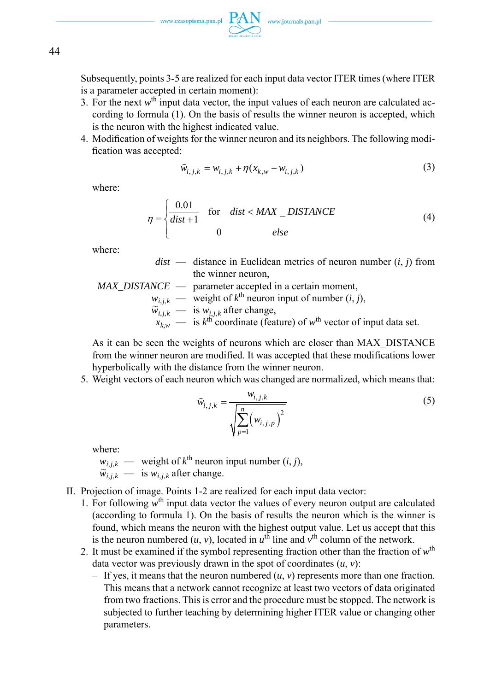Subsequently, points 3-5 are realized for each input data vector ITER times (where ITER is a parameter accepted in certain moment):

- 3. For the next  $w<sup>th</sup>$  input data vector, the input values of each neuron are calculated according to formula (1). On the basis of results the winner neuron is accepted, which is the neuron with the highest indicated value.
- 4. Modification of weights for the winner neuron and its neighbors. The following modification was accepted:

$$
\tilde{w}_{i,j,k} = w_{i,j,k} + \eta (x_{k,w} - w_{i,j,k})
$$
\n(3)

where:

$$
\eta = \begin{cases} \frac{0.01}{dist + 1} & \text{for} \quad dist < MAX\_DISTANCE \\ 0 & else \end{cases} \tag{4}
$$

where:

 *dist* — distance in Euclidean metrics of neuron number (*i*, *j*) from the winner neuron,

MAX\_DISTANCE — parameter accepted in a certain moment,  
\n
$$
w_{i,j,k}
$$
 — weight of  $k^{\text{th}}$  neuron input of number  $(i, j)$ ,  
\n $\widetilde{w}_{i,j,k}$  — is  $w_{i,j,k}$  after change,  
\n $x_{k,w}$  — is  $k^{\text{th}}$  coordinate (feature) of  $w^{\text{th}}$  vector of input data set.

As it can be seen the weights of neurons which are closer than MAX\_DISTANCE from the winner neuron are modified. It was accepted that these modifications lower hyperbolically with the distance from the winner neuron.

5. Weight vectors of each neuron which was changed are normalized, which means that:

$$
\tilde{w}_{i,j,k} = \frac{w_{i,j,k}}{\sqrt{\sum_{p=1}^{n} (w_{i,j,p})^2}}
$$
\n(5)

where:

- $w_{i,i,k}$  weight of  $k^{\text{th}}$  neuron input number  $(i, j)$ ,  $\widetilde{w}_{i,j,k}$  — is  $w_{i,j,k}$  after change.
- II. Projection of image. Points 1-2 are realized for each input data vector:
	- 1. For following  $w<sup>th</sup>$  input data vector the values of every neuron output are calculated (according to formula 1). On the basis of results the neuron which is the winner is found, which means the neuron with the highest output value. Let us accept that this is the neuron numbered  $(u, v)$ , located in  $u^{\text{th}}$  line and  $v^{\text{th}}$  column of the network.
	- 2. It must be examined if the symbol representing fraction other than the fraction of *w*th data vector was previously drawn in the spot of coordinates (*u*, *v*):
		- If yes, it means that the neuron numbered  $(u, v)$  represents more than one fraction. This means that a network cannot recognize at least two vectors of data originated from two fractions. This is error and the procedure must be stopped. The network is subjected to further teaching by determining higher ITER value or changing other parameters.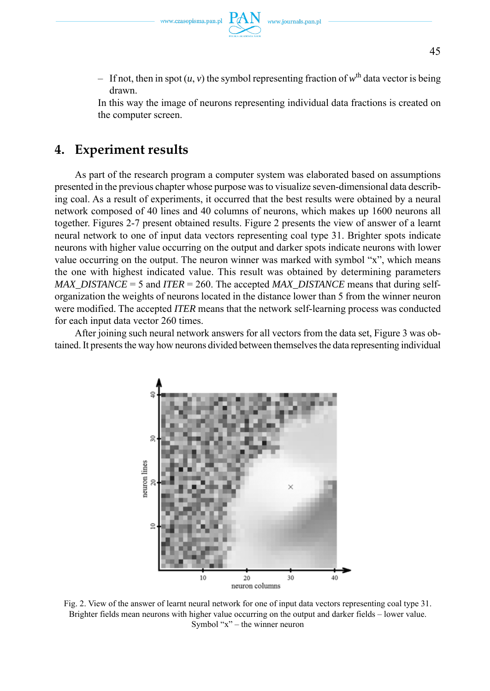– If not, then in spot  $(u, v)$  the symbol representing fraction of  $w<sup>th</sup>$  data vector is being drawn.

 In this way the image of neurons representing individual data fractions is created on the computer screen.

# **4. Experiment results**

As part of the research program a computer system was elaborated based on assumptions presented in the previous chapter whose purpose was to visualize seven-dimensional data describing coal. As a result of experiments, it occurred that the best results were obtained by a neural network composed of 40 lines and 40 columns of neurons, which makes up 1600 neurons all together. Figures 2-7 present obtained results. Figure 2 presents the view of answer of a learnt neural network to one of input data vectors representing coal type 31. Brighter spots indicate neurons with higher value occurring on the output and darker spots indicate neurons with lower value occurring on the output. The neuron winner was marked with symbol "x", which means the one with highest indicated value. This result was obtained by determining parameters *MAX\_DISTANCE* = 5 and *ITER* = 260. The accepted *MAX\_DISTANCE* means that during selforganization the weights of neurons located in the distance lower than 5 from the winner neuron were modified. The accepted *ITER* means that the network self-learning process was conducted for each input data vector 260 times.

After joining such neural network answers for all vectors from the data set, Figure 3 was obtained. It presents the way how neurons divided between themselves the data representing individual



Fig. 2. View of the answer of learnt neural network for one of input data vectors representing coal type 31. Brighter fields mean neurons with higher value occurring on the output and darker fields – lower value. Symbol " $x$ " – the winner neuron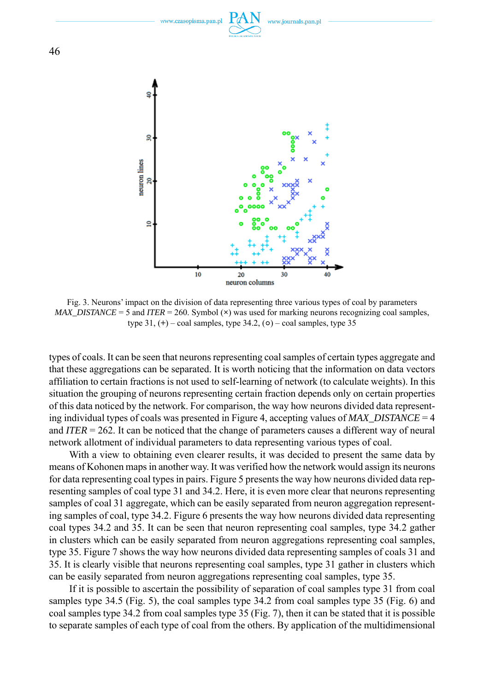

Fig. 3. Neurons' impact on the division of data representing three various types of coal by parameters *MAX\_DISTANCE* = 5 and *ITER* = 260. Symbol (**×**) was used for marking neurons recognizing coal samples, type  $31$ ,  $(+)$  – coal samples, type  $34.2$ ,  $(0)$  – coal samples, type  $35$ 

types of coals. It can be seen that neurons representing coal samples of certain types aggregate and that these aggregations can be separated. It is worth noticing that the information on data vectors affiliation to certain fractions is not used to self-learning of network (to calculate weights). In this situation the grouping of neurons representing certain fraction depends only on certain properties of this data noticed by the network. For comparison, the way how neurons divided data representing individual types of coals was presented in Figure 4, accepting values of *MAX\_DISTANCE* = 4 and *ITER* = 262. It can be noticed that the change of parameters causes a different way of neural network allotment of individual parameters to data representing various types of coal.

With a view to obtaining even clearer results, it was decided to present the same data by means of Kohonen maps in another way. It was verified how the network would assign its neurons for data representing coal types in pairs. Figure 5 presents the way how neurons divided data representing samples of coal type 31 and 34.2. Here, it is even more clear that neurons representing samples of coal 31 aggregate, which can be easily separated from neuron aggregation representing samples of coal, type 34.2. Figure 6 presents the way how neurons divided data representing coal types 34.2 and 35. It can be seen that neuron representing coal samples, type 34.2 gather in clusters which can be easily separated from neuron aggregations representing coal samples, type 35. Figure 7 shows the way how neurons divided data representing samples of coals 31 and 35. It is clearly visible that neurons representing coal samples, type 31 gather in clusters which can be easily separated from neuron aggregations representing coal samples, type 35.

If it is possible to ascertain the possibility of separation of coal samples type 31 from coal samples type 34.5 (Fig. 5), the coal samples type 34.2 from coal samples type 35 (Fig. 6) and coal samples type 34.2 from coal samples type 35 (Fig. 7), then it can be stated that it is possible to separate samples of each type of coal from the others. By application of the multidimensional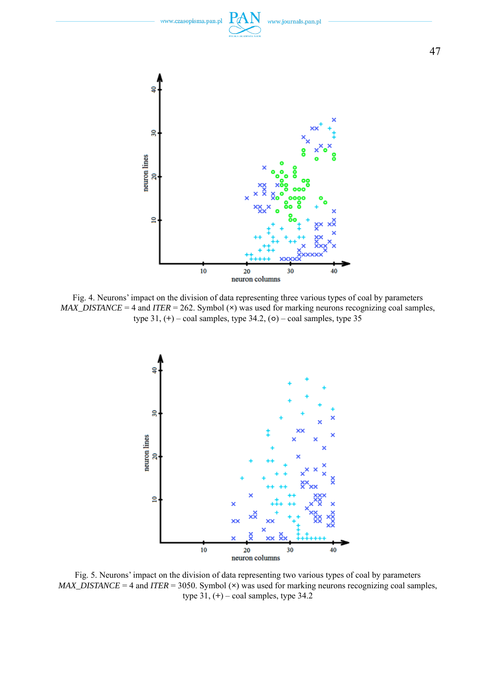

47

Fig. 4. Neurons' impact on the division of data representing three various types of coal by parameters *MAX\_DISTANCE* = 4 and *ITER* = 262. Symbol (**×**) was used for marking neurons recognizing coal samples, type 31, (**+**) – coal samples, type 34.2, (**○**) – coal samples, type 35



Fig. 5. Neurons' impact on the division of data representing two various types of coal by parameters *MAX\_DISTANCE* = 4 and *ITER* = 3050. Symbol (**×**) was used for marking neurons recognizing coal samples, type 31, (**+**) – coal samples, type 34.2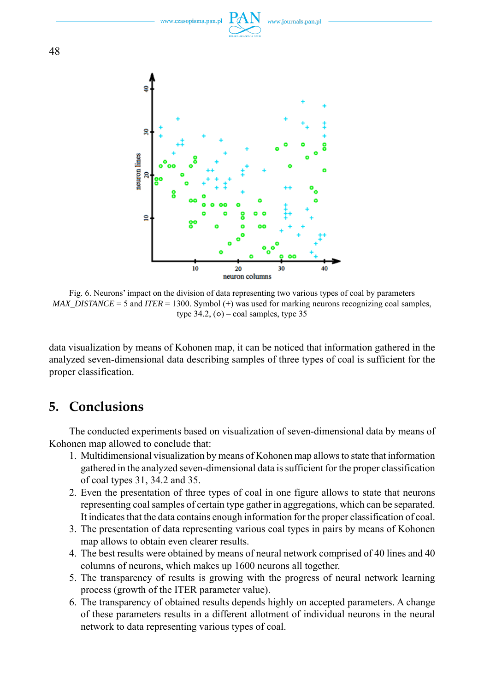

Fig. 6. Neurons' impact on the division of data representing two various types of coal by parameters *MAX\_DISTANCE* = 5 and *ITER* = 1300. Symbol (+) was used for marking neurons recognizing coal samples, type  $34.2$ ,  $(o)$  – coal samples, type  $35$ 

data visualization by means of Kohonen map, it can be noticed that information gathered in the analyzed seven-dimensional data describing samples of three types of coal is sufficient for the proper classification.

## **5. Conclusions**

The conducted experiments based on visualization of seven-dimensional data by means of Kohonen map allowed to conclude that:

- 1. Multidimensional visualization by means of Kohonen map allows to state that information gathered in the analyzed seven-dimensional data is sufficient for the proper classification of coal types 31, 34.2 and 35.
- 2. Even the presentation of three types of coal in one figure allows to state that neurons representing coal samples of certain type gather in aggregations, which can be separated. It indicates that the data contains enough information for the proper classification of coal.
- 3. The presentation of data representing various coal types in pairs by means of Kohonen map allows to obtain even clearer results.
- 4. The best results were obtained by means of neural network comprised of 40 lines and 40 columns of neurons, which makes up 1600 neurons all together.
- 5. The transparency of results is growing with the progress of neural network learning process (growth of the ITER parameter value).
- 6. The transparency of obtained results depends highly on accepted parameters. A change of these parameters results in a different allotment of individual neurons in the neural network to data representing various types of coal.

48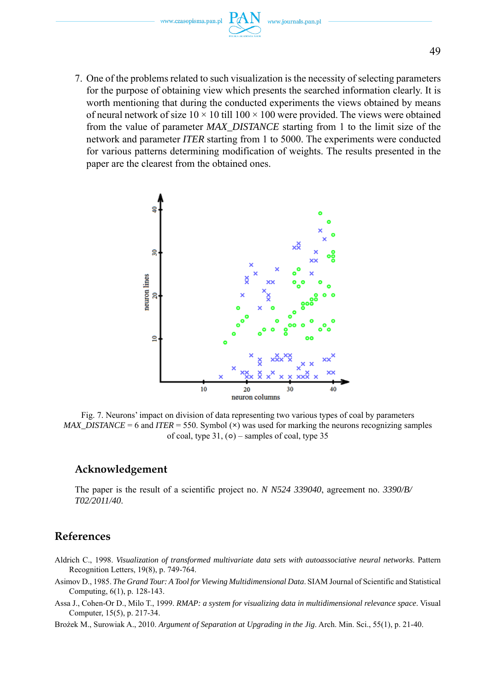www.czasopisma.pan.pl

7. One of the problems related to such visualization is the necessity of selecting parameters for the purpose of obtaining view which presents the searched information clearly. It is worth mentioning that during the conducted experiments the views obtained by means of neural network of size  $10 \times 10$  till  $100 \times 100$  were provided. The views were obtained from the value of parameter *MAX\_DISTANCE* starting from 1 to the limit size of the network and parameter *ITER* starting from 1 to 5000. The experiments were conducted for various patterns determining modification of weights. The results presented in the paper are the clearest from the obtained ones.



Fig. 7. Neurons' impact on division of data representing two various types of coal by parameters *MAX\_DISTANCE* = 6 and *ITER* = 550. Symbol (**×**) was used for marking the neurons recognizing samples of coal, type 31, (**○**) – samples of coal, type 35

#### **Acknowledgement**

The paper is the result of a scientific project no. *N N524 339040*, agreement no. *3390/B/ T02/2011/40*.

### **References**

- Aldrich C., 1998. *Visualization of transformed multivariate data sets with autoassociative neural networks*. Pattern Recognition Letters, 19(8), p. 749-764.
- Asimov D., 1985. *The Grand Tour: A Tool for Viewing Multidimensional Data*. SIAM Journal of Scientific and Statistical Computing, 6(1), p. 128-143.
- Assa J., Cohen-Or D., Milo T., 1999. *RMAP: a system for visualizing data in multidimensional relevance space*. Visual Computer, 15(5), p. 217-34.
- Brożek M., Surowiak A., 2010. *Argument of Separation at Upgrading in the Jig*. Arch. Min. Sci., 55(1), p. 21-40.